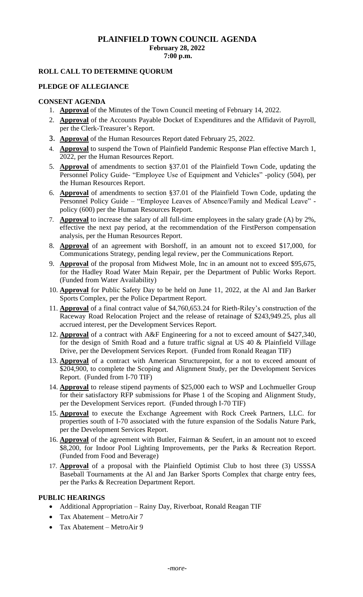# **PLAINFIELD TOWN COUNCIL AGENDA February 28, 2022 7:00 p.m.**

## **ROLL CALL TO DETERMINE QUORUM**

## **PLEDGE OF ALLEGIANCE**

# **CONSENT AGENDA**

- 1. **Approval** of the Minutes of the Town Council meeting of February 14, 2022.
- 2. **Approval** of the Accounts Payable Docket of Expenditures and the Affidavit of Payroll, per the Clerk-Treasurer's Report.
- 3. **Approval** of the Human Resources Report dated February 25, 2022.
- 4. **Approval** to suspend the Town of Plainfield Pandemic Response Plan effective March 1, 2022, per the Human Resources Report.
- 5. **Approval** of amendments to section §37.01 of the Plainfield Town Code, updating the Personnel Policy Guide- "Employee Use of Equipment and Vehicles" -policy (504), per the Human Resources Report.
- 6. **Approval** of amendments to section §37.01 of the Plainfield Town Code, updating the Personnel Policy Guide – "Employee Leaves of Absence/Family and Medical Leave" policy (600) per the Human Resources Report.
- 7. **Approval** to increase the salary of all full-time employees in the salary grade (A) by 2%, effective the next pay period, at the recommendation of the FirstPerson compensation analysis, per the Human Resources Report.
- 8. **Approval** of an agreement with Borshoff, in an amount not to exceed \$17,000, for Communications Strategy, pending legal review, per the Communications Report.
- 9. **Approval** of the proposal from Midwest Mole, Inc in an amount not to exceed \$95,675, for the Hadley Road Water Main Repair, per the Department of Public Works Report. (Funded from Water Availability)
- 10. **Approval** for Public Safety Day to be held on June 11, 2022, at the Al and Jan Barker Sports Complex, per the Police Department Report.
- 11. **Approval** of a final contract value of \$4,760,653.24 for Rieth-Riley's construction of the Raceway Road Relocation Project and the release of retainage of \$243,949.25, plus all accrued interest, per the Development Services Report.
- 12. **Approval** of a contract with A&F Engineering for a not to exceed amount of \$427,340, for the design of Smith Road and a future traffic signal at US 40 & Plainfield Village Drive, per the Development Services Report. (Funded from Ronald Reagan TIF)
- 13. **Approval** of a contract with American Structurepoint, for a not to exceed amount of \$204,900, to complete the Scoping and Alignment Study, per the Development Services Report. (Funded from I-70 TIF)
- 14. **Approval** to release stipend payments of \$25,000 each to WSP and Lochmueller Group for their satisfactory RFP submissions for Phase 1 of the Scoping and Alignment Study, per the Development Services report. (Funded through I-70 TIF)
- 15. **Approval** to execute the Exchange Agreement with Rock Creek Partners, LLC. for properties south of I-70 associated with the future expansion of the Sodalis Nature Park, per the Development Services Report.
- 16. **Approval** of the agreement with Butler, Fairman & Seufert, in an amount not to exceed \$8,200, for Indoor Pool Lighting Improvements, per the Parks & Recreation Report. (Funded from Food and Beverage)
- 17. **Approval** of a proposal with the Plainfield Optimist Club to host three (3) USSSA Baseball Tournaments at the Al and Jan Barker Sports Complex that charge entry fees, per the Parks & Recreation Department Report.

## **PUBLIC HEARINGS**

- Additional Appropriation Rainy Day, Riverboat, Ronald Reagan TIF
- Tax Abatement MetroAir 7
- Tax Abatement MetroAir 9